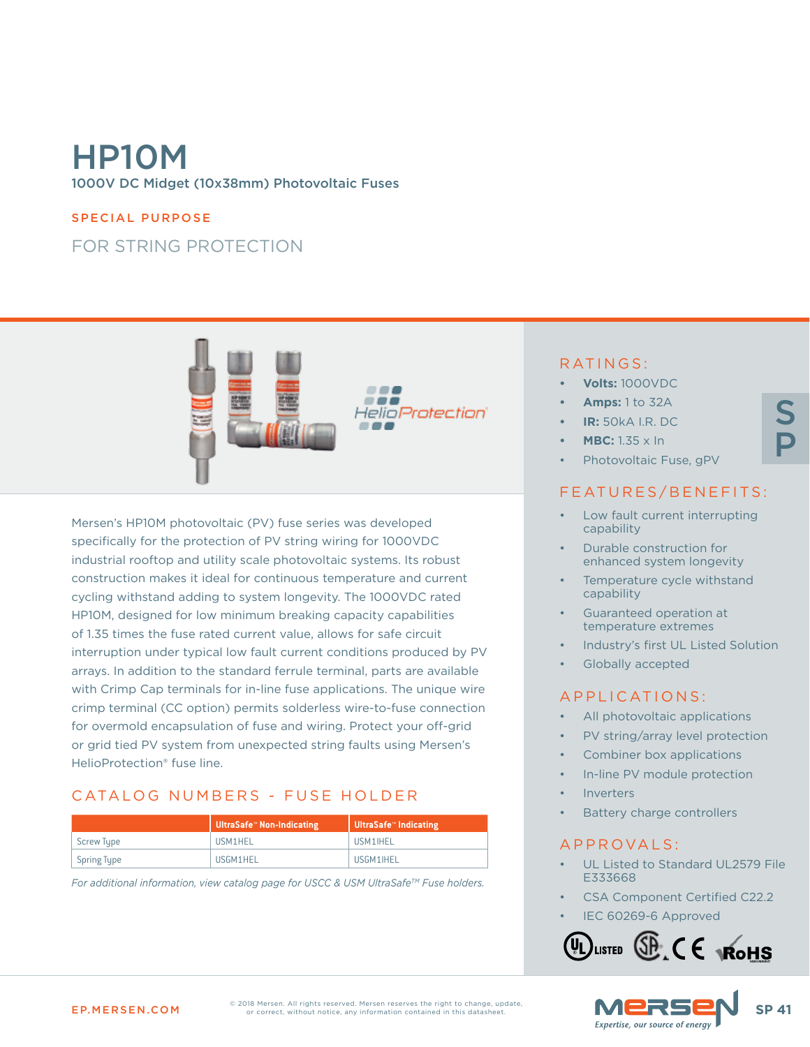# HP10M 1000V DC Midget (10x38mm) Photovoltaic Fuses

#### SPECIAL PURPOSE

## FOR STRING PROTECTION



Mersen's HP10M photovoltaic (PV) fuse series was developed specifically for the protection of PV string wiring for 1000VDC industrial rooftop and utility scale photovoltaic systems. Its robust construction makes it ideal for continuous temperature and current cycling withstand adding to system longevity. The 1000VDC rated HP10M, designed for low minimum breaking capacity capabilities of 1.35 times the fuse rated current value, allows for safe circuit interruption under typical low fault current conditions produced by PV arrays. In addition to the standard ferrule terminal, parts are available with Crimp Cap terminals for in-line fuse applications. The unique wire crimp terminal (CC option) permits solderless wire-to-fuse connection for overmold encapsulation of fuse and wiring. Protect your off-grid or grid tied PV system from unexpected string faults using Mersen's HelioProtection® fuse line.

## CATALOG NUMBERS - FUSE HOLDER

|             | │ UltraSafe™ Non-Indicating | UltraSafe <sup>®</sup> Indicating |
|-------------|-----------------------------|-----------------------------------|
| Screw Type  | <b>IISM1HFI</b>             | <b>IISM1IHFI</b>                  |
| Spring Type | USGM1HEL                    | USGM1IHEL                         |

*For additional information, view catalog page for USCC & USM UltraSafeTM Fuse holders.*

#### RATINGS:

- **• Volts:** 1000VDC
- **• Amps:** 1 to 32A
- **• IR:** 50kA I.R. DC
- **• MBC:** 1.35 x In
- Photovoltaic Fuse, gPV

#### FEATURES/BENEFITS:

S

P

- Low fault current interrupting capability
- Durable construction for enhanced system longevity
- Temperature cycle withstand capability
- Guaranteed operation at temperature extremes
- Industry's first UL Listed Solution
- Globally accepted

#### APPLICATIONS:

- All photovoltaic applications
- PV string/array level protection
- Combiner box applications
- In-line PV module protection
- **Inverters**
- Battery charge controllers

#### APPROVALS:

- UL Listed to Standard UL2579 File E333668
- CSA Component Certified C22.2
- IEC 60269-6 Approved





EP.MERSEN.COM SP 41 © 2018 Mersen. All rights reserved. Mersen reserves the right to change, update,